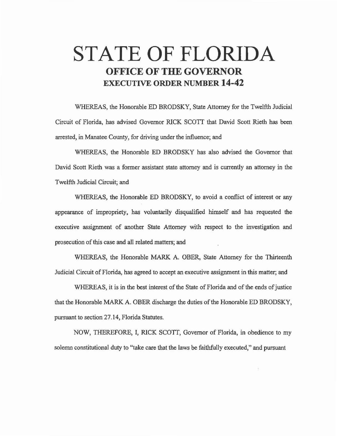## **STATE OF FLORIDA OFFICE OF THE GOVERNOR EXECUTIVE ORDER NUMBER 14-42**

WHEREAS, the Honorable ED BRODSKY, State Attorney for the Twelfth Judicial Circuit of Florida, has advised Governor RICK SCOTT that David Scott Rieth has been arrested, in Manatee County, for driving under the influence; and

WHEREAS, the Honorable ED BRODSKY has also advised the Governor that David Scott Rieth was a former assistant state attorney and is currently an attorney in the Twelfth Judicial Circuit; and

WHEREAS, the Honorable ED BRODSKY, to avoid a conflict of interest or any appearance of impropriety, has voluntarily disqualified himself and has requested the executive assignment of another State Attorney with respect to the investigation and prosecution of this case and all related matters; and

WHEREAS, the Honorable MARK A. OBER, State Attorney for the Thirteenth Judicial Circuit of Florida, has agreed to accept an executive assignment in this matter; and

WHEREAS, it is in the best interest of the State of Florida and of the ends of justice that the Honorable MARK A. OBER discharge the duties of the Honorable ED BRODSKY, pursuant to section 27.14, Florida Statutes.

NOW, THEREFORE, I, RICK SCOTT, Governor of Florida, in obedience to my solemn constitutional duty to "take care that the laws be faithfully executed," and pursuant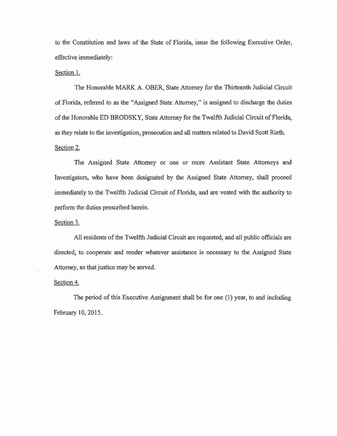to the Constitution and laws of the State of Florida, issue the following Executive Order, effective immediately:

## Section 1.

The Honorable MARK A. OBER, State Attorney for the Thirteenth Judicial Circuit of Florida, referred to as the "Assigned State Attorney," is assigned to discharge the duties of the Honorable ED BRODSKY, State Attorney for the Twelfth Judicial Circuit of Florida, as they relate to the investigation, prosecution and all matters related to David Scott Rieth. Section 2.

The Assigned State Attorney or one or more Assistant State Attorneys and Investigators, who have been designated by the Assigned State Attorney, shall proceed immediately to the Twelfth Judicial Circuit of Florida, and are vested with the authority to perform the duties prescribed herein.

Section 3.

All residents of the Twelfth Judicial Circuit are requested, and all public officials are directed, to cooperate and render whatever assistance is necessary to the Assigned State Attorney, so that justice may be served.

Section 4.

The period of this Executive Assignment shall be for one (1) year, to and including February 10, 2015.